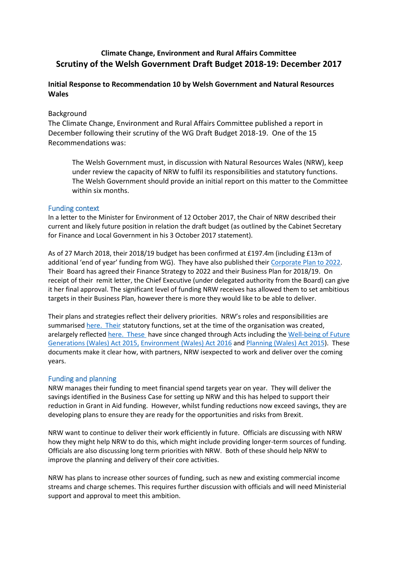# **Climate Change, Environment and Rural Affairs Committee Scrutiny of the Welsh Government Draft Budget 2018-19: December 2017**

### **Initial Response to Recommendation 10 by Welsh Government and Natural Resources Wales**

#### Background

The Climate Change, Environment and Rural Affairs Committee published a report in December following their scrutiny of the WG Draft Budget 2018-19. One of the 15 Recommendations was:

The Welsh Government must, in discussion with Natural Resources Wales (NRW), keep under review the capacity of NRW to fulfil its responsibilities and statutory functions. The Welsh Government should provide an initial report on this matter to the Committee within six months.

#### Funding context

In a letter to the Minister for Environment of 12 October 2017, the Chair of NRW described their current and likely future position in relation the draft budget (as outlined by the Cabinet Secretary for Finance and Local Government in his 3 October 2017 statement).

As of 27 March 2018, their 2018/19 budget has been confirmed at £197.4m (including £13m of additional 'end of year' funding from WG). They have also published their [Corporate Plan to 2022.](https://naturalresources.wales/media/684608/eng-corporate-plans-to-2022-summary.pdf) Their Board has agreed their Finance Strategy to 2022 and their Business Plan for 2018/19. On receipt of their remit letter, the Chief Executive (under delegated authority from the Board) can give it her final approval. The significant level of funding NRW receives has allowed them to set ambitious targets in their Business Plan, however there is more they would like to be able to deliver.

Their plans and strategies reflect their delivery priorities. NRW's roles and responsibilities are summarised [here.](https://naturalresources.wales/about-us/what-we-do/our-roles-and-responsibilities/?lang=en) Their statutory functions, set at the time of the organisation was created, arelargely reflecte[d here.](https://www.legislation.gov.uk/wsi/2013/755/contents/made) These have since changed through Acts including the [Well-being of Future](http://www.legislation.gov.uk/anaw/2015/2/contents/enacted)  [Generations \(Wales\) Act](http://www.legislation.gov.uk/anaw/2015/2/contents/enacted) 2015, [Environment](http://www.legislation.gov.uk/anaw/2016/3/contents/enacted) (Wales) Act 2016 an[d Planning \(Wales\) Act](http://www.legislation.gov.uk/anaw/2015/4/contents/enacted) 2015). These documents make it clear how, with partners, NRW isexpected to work and deliver over the coming years.

#### Funding and planning

NRW manages their funding to meet financial spend targets year on year. They will deliver the savings identified in the Business Case for setting up NRW and this has helped to support their reduction in Grant in Aid funding. However, whilst funding reductions now exceed savings, they are developing plans to ensure they are ready for the opportunities and risks from Brexit.

NRW want to continue to deliver their work efficiently in future. Officials are discussing with NRW how they might help NRW to do this, which might include providing longer-term sources of funding. Officials are also discussing long term priorities with NRW. Both of these should help NRW to improve the planning and delivery of their core activities.

NRW has plans to increase other sources of funding, such as new and existing commercial income streams and charge schemes. This requires further discussion with officials and will need Ministerial support and approval to meet this ambition.